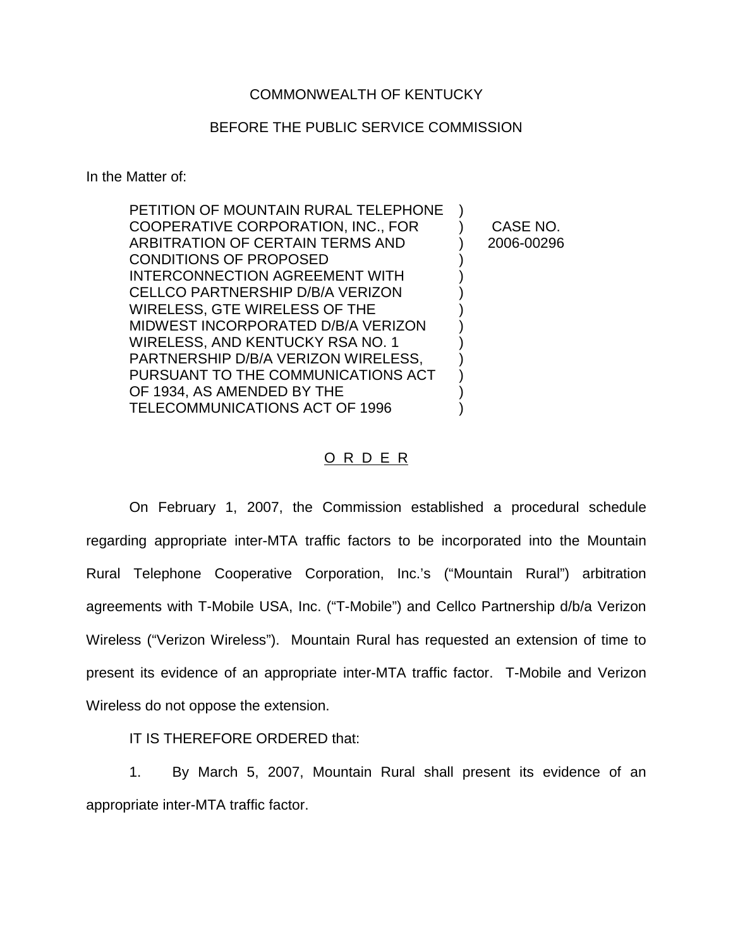## COMMONWEALTH OF KENTUCKY

## BEFORE THE PUBLIC SERVICE COMMISSION

In the Matter of:

| PETITION OF MOUNTAIN RURAL TELEPHONE |            |
|--------------------------------------|------------|
| COOPERATIVE CORPORATION, INC., FOR   | CASE NO.   |
| ARBITRATION OF CERTAIN TERMS AND     | 2006-00296 |
| <b>CONDITIONS OF PROPOSED</b>        |            |
| INTERCONNECTION AGREEMENT WITH       |            |
| CELLCO PARTNERSHIP D/B/A VERIZON     |            |
| WIRELESS, GTE WIRELESS OF THE        |            |
| MIDWEST INCORPORATED D/B/A VERIZON   |            |
| WIRELESS, AND KENTUCKY RSA NO. 1     |            |
| PARTNERSHIP D/B/A VERIZON WIRELESS,  |            |
| PURSUANT TO THE COMMUNICATIONS ACT   |            |
| OF 1934, AS AMENDED BY THE           |            |
| TELECOMMUNICATIONS ACT OF 1996       |            |
|                                      |            |

## O R D E R

On February 1, 2007, the Commission established a procedural schedule regarding appropriate inter-MTA traffic factors to be incorporated into the Mountain Rural Telephone Cooperative Corporation, Inc.'s ("Mountain Rural") arbitration agreements with T-Mobile USA, Inc. ("T-Mobile") and Cellco Partnership d/b/a Verizon Wireless ("Verizon Wireless"). Mountain Rural has requested an extension of time to present its evidence of an appropriate inter-MTA traffic factor. T-Mobile and Verizon Wireless do not oppose the extension.

IT IS THEREFORE ORDERED that:

1. By March 5, 2007, Mountain Rural shall present its evidence of an appropriate inter-MTA traffic factor.